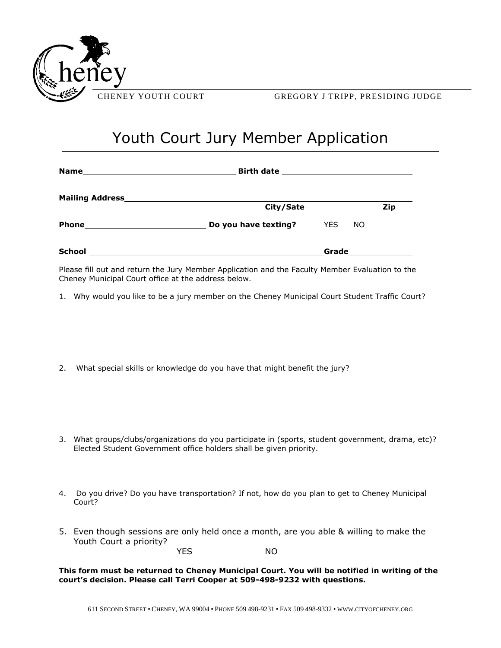

## Youth Court Jury Member Application

|               | City/Sate            |            |     | Zip |  |
|---------------|----------------------|------------|-----|-----|--|
|               | Do you have texting? | <b>YES</b> | NO. |     |  |
| <b>School</b> |                      | Grade      |     |     |  |

Please fill out and return the Jury Member Application and the Faculty Member Evaluation to the Cheney Municipal Court office at the address below.

- 1. Why would you like to be a jury member on the Cheney Municipal Court Student Traffic Court?
- 2. What special skills or knowledge do you have that might benefit the jury?
- 3. What groups/clubs/organizations do you participate in (sports, student government, drama, etc)? Elected Student Government office holders shall be given priority.
- 4. Do you drive? Do you have transportation? If not, how do you plan to get to Cheney Municipal Court?
- 5. Even though sessions are only held once a month, are you able & willing to make the Youth Court a priority?

YES NO

**This form must be returned to Cheney Municipal Court. You will be notified in writing of the court's decision. Please call Terri Cooper at 509-498-9232 with questions.**